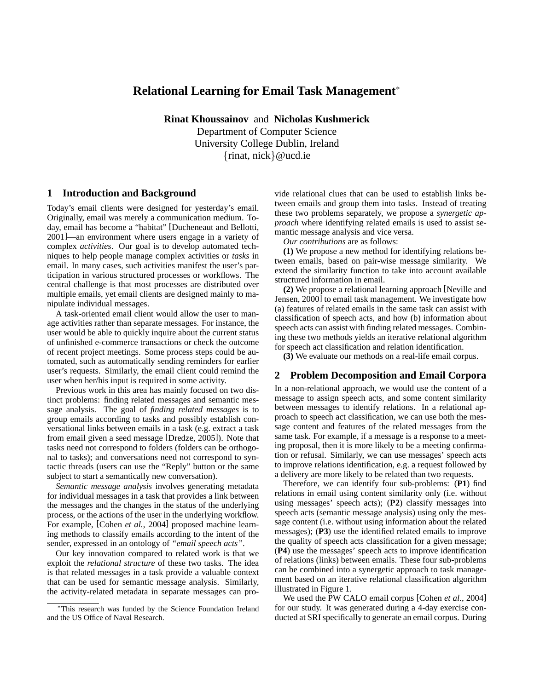# **Relational Learning for Email Task Management**<sup>∗</sup>

**Rinat Khoussainov** and **Nicholas Kushmerick** Department of Computer Science University College Dublin, Ireland {rinat, nick}@ucd.ie

## **1 Introduction and Background**

Today's email clients were designed for yesterday's email. Originally, email was merely a communication medium. Today, email has become a "habitat" [Ducheneaut and Bellotti, 2001]—an environment where users engage in a variety of complex *activities*. Our goal is to develop automated techniques to help people manage complex activities or *tasks* in email. In many cases, such activities manifest the user's participation in various structured processes or workflows. The central challenge is that most processes are distributed over multiple emails, yet email clients are designed mainly to manipulate individual messages.

A task-oriented email client would allow the user to manage activities rather than separate messages. For instance, the user would be able to quickly inquire about the current status of unfinished e-commerce transactions or check the outcome of recent project meetings. Some process steps could be automated, such as automatically sending reminders for earlier user's requests. Similarly, the email client could remind the user when her/his input is required in some activity.

Previous work in this area has mainly focused on two distinct problems: finding related messages and semantic message analysis. The goal of *finding related messages* is to group emails according to tasks and possibly establish conversational links between emails in a task (e.g. extract a task from email given a seed message [Dredze, 2005]). Note that tasks need not correspond to folders (folders can be orthogonal to tasks); and conversations need not correspond to syntactic threads (users can use the "Reply" button or the same subject to start a semantically new conversation).

*Semantic message analysis* involves generating metadata for individual messages in a task that provides a link between the messages and the changes in the status of the underlying process, or the actions of the user in the underlying workflow. For example, [Cohen *et al.*, 2004] proposed machine learning methods to classify emails according to the intent of the sender, expressed in an ontology of *"email speech acts"*.

Our key innovation compared to related work is that we exploit the *relational structure* of these two tasks. The idea is that related messages in a task provide a valuable context that can be used for semantic message analysis. Similarly, the activity-related metadata in separate messages can provide relational clues that can be used to establish links between emails and group them into tasks. Instead of treating these two problems separately, we propose a *synergetic approach* where identifying related emails is used to assist semantic message analysis and vice versa.

*Our contributions* are as follows:

**(1)** We propose a new method for identifying relations between emails, based on pair-wise message similarity. We extend the similarity function to take into account available structured information in email.

**(2)** We propose a relational learning approach [Neville and Jensen, 2000] to email task management. We investigate how (a) features of related emails in the same task can assist with classification of speech acts, and how (b) information about speech acts can assist with finding related messages. Combining these two methods yields an iterative relational algorithm for speech act classification and relation identification.

**(3)** We evaluate our methods on a real-life email corpus.

# **2 Problem Decomposition and Email Corpora**

In a non-relational approach, we would use the content of a message to assign speech acts, and some content similarity between messages to identify relations. In a relational approach to speech act classification, we can use both the message content and features of the related messages from the same task. For example, if a message is a response to a meeting proposal, then it is more likely to be a meeting confirmation or refusal. Similarly, we can use messages' speech acts to improve relations identification, e.g. a request followed by a delivery are more likely to be related than two requests.

Therefore, we can identify four sub-problems: (**P1**) find relations in email using content similarity only (i.e. without using messages' speech acts); (**P2**) classify messages into speech acts (semantic message analysis) using only the message content (i.e. without using information about the related messages); (**P3**) use the identified related emails to improve the quality of speech acts classification for a given message; (**P4**) use the messages' speech acts to improve identification of relations (links) between emails. These four sub-problems can be combined into a synergetic approach to task management based on an iterative relational classification algorithm illustrated in Figure 1.

We used the PW CALO email corpus [Cohen *et al.*, 2004] for our study. It was generated during a 4-day exercise conducted at SRI specifically to generate an email corpus. During

<sup>∗</sup>This research was funded by the Science Foundation Ireland and the US Office of Naval Research.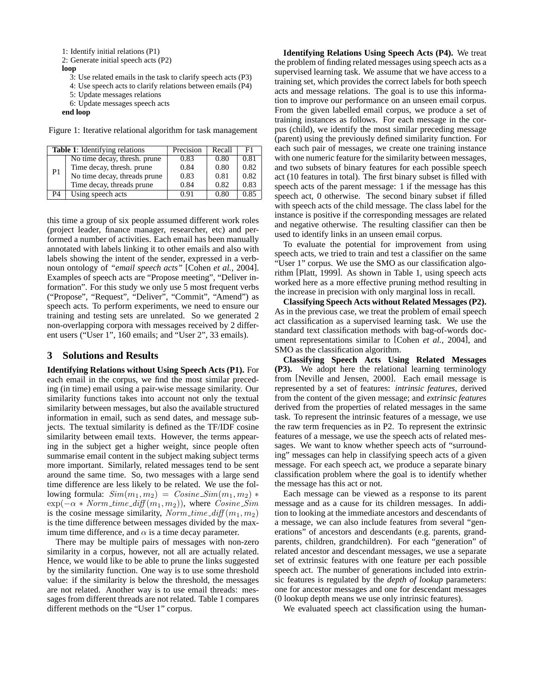1: Identify initial relations (P1)

2: Generate initial speech acts (P2)

#### **loop**

3: Use related emails in the task to clarify speech acts (P3)

4: Use speech acts to clarify relations between emails (P4)

5: Update messages relations

6: Update messages speech acts

**end loop**

Figure 1: Iterative relational algorithm for task management

| <b>Table 1:</b> Identifying relations |                              | Precision | Recall | F1   |
|---------------------------------------|------------------------------|-----------|--------|------|
| P1                                    | No time decay, thresh. prune | 0.83      | 0.80   | 0.81 |
|                                       | Time decay, thresh. prune    | 0.84      | 0.80   | 0.82 |
|                                       | No time decay, threads prune | 0.83      | 0.81   | 0.82 |
|                                       | Time decay, threads prune    | 0.84      | 0.82   | 0.83 |
| P4                                    | Using speech acts            | 0.91      | 0.80   | 0.85 |

this time a group of six people assumed different work roles (project leader, finance manager, researcher, etc) and performed a number of activities. Each email has been manually annotated with labels linking it to other emails and also with labels showing the intent of the sender, expressed in a verbnoun ontology of *"email speech acts"* [Cohen *et al.*, 2004]. Examples of speech acts are "Propose meeting", "Deliver information". For this study we only use 5 most frequent verbs ("Propose", "Request", "Deliver", "Commit", "Amend") as speech acts. To perform experiments, we need to ensure our training and testing sets are unrelated. So we generated 2 non-overlapping corpora with messages received by 2 different users ("User 1", 160 emails; and "User 2", 33 emails).

### **3 Solutions and Results**

**Identifying Relations without Using Speech Acts (P1).** For each email in the corpus, we find the most similar preceding (in time) email using a pair-wise message similarity. Our similarity functions takes into account not only the textual similarity between messages, but also the available structured information in email, such as send dates, and message subjects. The textual similarity is defined as the TF/IDF cosine similarity between email texts. However, the terms appearing in the subject get a higher weight, since people often summarise email content in the subject making subject terms more important. Similarly, related messages tend to be sent around the same time. So, two messages with a large send time difference are less likely to be related. We use the following formula:  $Sim(m_1, m_2) = Cosine\_{Sim}(m_1, m_2)$  \*  $\exp(-\alpha * Norm\_time\_diff(m_1, m_2))$ , where  $Cosine\_Sim$ is the cosine message similarity,  $Norm\_time\_diff(m_1, m_2)$ is the time difference between messages divided by the maximum time difference, and  $\alpha$  is a time decay parameter.

There may be multiple pairs of messages with non-zero similarity in a corpus, however, not all are actually related. Hence, we would like to be able to prune the links suggested by the similarity function. One way is to use some threshold value: if the similarity is below the threshold, the messages are not related. Another way is to use email threads: messages from different threads are not related. Table 1 compares different methods on the "User 1" corpus.

**Identifying Relations Using Speech Acts (P4).** We treat the problem of finding related messages using speech acts as a supervised learning task. We assume that we have access to a training set, which provides the correct labels for both speech acts and message relations. The goal is to use this information to improve our performance on an unseen email corpus. From the given labelled email corpus, we produce a set of training instances as follows. For each message in the corpus (child), we identify the most similar preceding message (parent) using the previously defined similarity function. For each such pair of messages, we create one training instance with one numeric feature for the similarity between messages, and two subsets of binary features for each possible speech act (10 features in total). The first binary subset is filled with speech acts of the parent message: 1 if the message has this speech act, 0 otherwise. The second binary subset if filled with speech acts of the child message. The class label for the instance is positive if the corresponding messages are related and negative otherwise. The resulting classifier can then be used to identify links in an unseen email corpus.

To evaluate the potential for improvement from using speech acts, we tried to train and test a classifier on the same "User 1" corpus. We use the SMO as our classification algorithm [Platt, 1999]. As shown in Table 1, using speech acts worked here as a more effective pruning method resulting in the increase in precision with only marginal loss in recall.

**Classifying Speech Acts without Related Messages (P2).** As in the previous case, we treat the problem of email speech act classification as a supervised learning task. We use the standard text classification methods with bag-of-words document representations similar to [Cohen *et al.*, 2004], and SMO as the classification algorithm.

**Classifying Speech Acts Using Related Messages (P3).** We adopt here the relational learning terminology from [Neville and Jensen, 2000]. Each email message is represented by a set of features: *intrinsic features*, derived from the content of the given message; and *extrinsic features* derived from the properties of related messages in the same task. To represent the intrinsic features of a message, we use the raw term frequencies as in P2. To represent the extrinsic features of a message, we use the speech acts of related messages. We want to know whether speech acts of "surrounding" messages can help in classifying speech acts of a given message. For each speech act, we produce a separate binary classification problem where the goal is to identify whether the message has this act or not.

Each message can be viewed as a response to its parent message and as a cause for its children messages. In addition to looking at the immediate ancestors and descendants of a message, we can also include features from several "generations" of ancestors and descendants (e.g. parents, grandparents, children, grandchildren). For each "generation" of related ancestor and descendant messages, we use a separate set of extrinsic features with one feature per each possible speech act. The number of generations included into extrinsic features is regulated by the *depth of lookup* parameters: one for ancestor messages and one for descendant messages (0 lookup depth means we use only intrinsic features).

We evaluated speech act classification using the human-